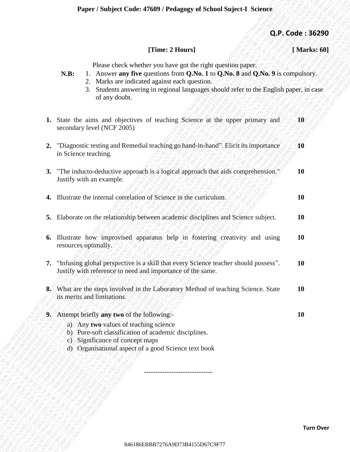**Q.P. Code : 36290**

## **[Time: 2 Hours] [ Marks: 60]**

Please check whether you have got the right question paper.

- **N.B:** 1. Answer **any five** questions from **Q.No. 1** to **Q.No. 8** and **Q.No. 9** is compulsory.
	- 2. Marks are indicated against each question.
	- 3. Students answering in regional languages should refer to the English paper, in case of any doubt.
- 8486186 (Times 2 Horns)<br>
176 B746186 and the studient particular distribution (2 No. 1 πιο QAB 9 Καταγραύνος).<br>
24 Matta air side model of gas the studient specifical studients (Apple 10 Apple 10 Apple 10 Apple 10 Apple 1 **CF. Code: 36259**<br> **CF. Code: 36289**<br> **EBB**<br> **ERE:** L. Associate an Correlation Franchise discussed in the Composition Figure Code State (200, 8) is computed to the state of the state of the state of the state of the stat Funest 7.6000/ext Contest 2.0697 Yextungs go of Serious angulare 3. Contest 2.6259<br>
Times: 2. Moreover any The quadrational content DVM (1.00 QN6, 1.60 QN6, 9.6 weakpacking<br>
2. Moreover any The quadratic agents and aquati **Expert / Nadiped Coole: 47609 / Pedagong: of Nebrol Suject 1 Neirote<br>
(Thus: 24 Bers)<br>
Thus: Coole: 156289<br>
Thus: Coole: 156286<br>
Thus: Associate may for quote any the consistence QAS Line (AGA-16 A6 24 Group<br>
2. A functi** Paper / Sobject Code: 47609 / Pedagogy of School Sujetet I School (Marks: 60)<br>
Then concele where we are noted to the conceleration of the set of the method interest and the set of the set of the set of the set of the set **Experision Extends F1699 / Evaluages of School Superior School of The Columbia Control of The Columbia Columbia Columbia Columbia Columbia Columbia Columbia Columbia Columbia Columbia Columbia Columbia Columbia Columbia** Expert Subject Code: 47609 / Polagogy of School Sujert-1 Science<br>
Trans: 2 House 16626 when you are cost to analytical space of the following the state of the state of the state of the state of the state of the state of t **Experis Subject Code: 47699 / Pedagogy of School Suject-1 Science 1 Marks. 601**<br> **EXA**<br> **EXA**<br> **EXABER 828**<br> **EXABER 826**<br> **EXABER 826**<br> **EXABER 826**<br> **EXABER 826**<br> **EXABER 826**<br> **EXABER 826**<br> **EXABER 826**<br> **EXABER 826**<br> **Experis Subject Code: 47699 / Pedagogy of School Suject-1 Science 1 Marks. 601**<br> **EXA**<br> **EXA**<br> **EXABER 828**<br> **EXABER 826**<br> **EXABER 826**<br> **EXABER 826**<br> **EXABER 826**<br> **EXABER 826**<br> **EXABER 826**<br> **EXABER 826**<br> **EXABER 826**<br> **Experis Subject Code: 47699 / Pedagogy of School Suject-1 Science 1 Marks. 601**<br> **EXA**<br> **EXA**<br> **EXABER 828**<br> **EXABER 826**<br> **EXABER 826**<br> **EXABER 826**<br> **EXABER 826**<br> **EXABER 826**<br> **EXABER 826**<br> **EXABER 826**<br> **EXABER 826**<br> **Experis Subject Code: 47699 / Pedagogy of School Suject-1 Science 1 Marks. 601**<br> **EXA**<br> **EXA**<br> **EXABER 828**<br> **EXABER 826**<br> **EXABER 826**<br> **EXABER 826**<br> **EXABER 826**<br> **EXABER 826**<br> **EXABER 826**<br> **EXABER 826**<br> **EXABER 826**<br> **Experis Subject Code: 47699 / Pedagogy of School Suject-1 Science 1 Marks. 601**<br> **EXA**<br> **EXA**<br> **EXABER 828**<br> **EXABER 826**<br> **EXABER 826**<br> **EXABER 826**<br> **EXABER 826**<br> **EXABER 826**<br> **EXABER 826**<br> **EXABER 826**<br> **EXABER 826**<br> **EBB**<br>**ETTHES 2 Through 21 Through 21 Through 21 Through 21 Through 21 Three CBB<br>
1768 Code 2023 CP<br>
1768 Code 2023 CP<br>
1868 Code 2024 CP Code 2024 CP<br>
28 Code 2024 CP Code 2024 CP<br>
28 CP Code 2024 CP Code 2024 CP Code 20 Example:** Stabijed Coule: 47609 / Perhaps of Schneid Super-L Schneids (A) **A)**. (These 2 Hourse 1<br>
(These 2 Hourse in the case of Solid encoded points (A)  $\sim$  8 A9 and 5 and 5 and 5 and 6 and 6 and 6 and 6 and 6 and 6 a **Exper / Statistics Crafts 776499 / Three 2 Hours 1** (**A)P, Code : 36290**<br> **Express choose where you there are the most operations of the control of the state of the state of the state of the state of the state of the sta Paper: Nobject Code: 47609 / Testagrap of School Scheck Code: 36230 [Testack 21684157847613164]** [Markes 900 km/s and graphine rate in the supplementary particle in the sum and the quantitative particle in the supplement **Example 7 Subject Code: 47669 / Transe: 2 Boarel (Absorption Spin) (Absorption Spin) (Absorption Spin) (Absorption Spin) (ABsorption Spin) (ABsorption Spin) (ABsorption Spin) (ABsorption Spin) (ABsorption Spin) (ABsorpti** Puper / Subject Code: 47699 / Peduagog of School Suject-3 Schwee<br>
(B. Code: 3825<br>
Times: 24 George Monter (December 1984)<br>
24. H. Coverent Were questions through the right of the light of the UASA stress (Pack Conservered) **Example 15 Subject Code: 47609 / Fedings or Gelebration Subject 3 Gode: 362<br>
Time: 2 Hours (gent derivery to have got the region of the energy the energy from the space of the energy of the energy of the energy of the st Example: Code: 47609 / Fedangory of School Suject-I. Sedence**<br> **Code: 36**<br> **Example:**<br> **Planet since the properties on the regular distribution in the CoMAS 36 computancy<br>
2. Variate an uncertainty particular guarant l 1.** State the aims and objectives of teaching Science at the upper primary and secondary level (NCF 2005) **10 2.** "Diagnostic testing and Remedial teaching go hand-in-hand". Elicit its importance in Science teaching. **10 3.** "The inducto-deductive approach is a logical approach that aids comprehension." Justify with an example. **10 4.** Illustrate the internal correlation of Science in the curriculum. **10 10 5.** Elaborate on the relationship between academic disciplines and Science subject. **10 6.** Illustrate how improvised apparatus help in fostering creativity and using resources optimally. **10 7.** "Infusing global perspective is a skill that every Science teacher should possess". Justify with reference to need and importance of the same. **10 8.** What are the steps involved in the Laboratory Method of teaching Science. State its merits and limitations. **10 9.** Attempt briefly **any two** of the following:- **10** a) Any **two** values of teaching science b) Pure-soft classification of academic disciplines. c) Significance of concept maps d) Organisational aspect of a good Science text book ------------------------------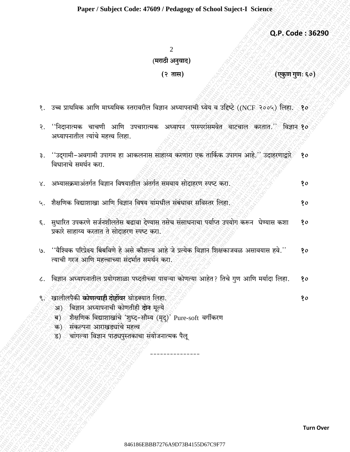## Paper / Subject Code: 47609 / Pedagogy of School Suject-I Science

Q.P. Code: 36290

 $\overline{2}$ (मराठी अनुवाद)

## (२ तास)

(एकुण गुणः ६०)

- १. उच्च प्राथमिक आणि माध्यमिक स्तरावरील विज्ञान अध्यापनाची ध्येय व उद्दिष्टे ((NCF २००५) लिहा. १०
- ''निदानात्मक चाचणी आणि उपचारात्मक अध्यापन परस्परांसमवेत वाटचाल करतात.'' विज्ञान**१०** २. अध्यापनातील त्यांचे महत्त्व लिहा.
- ''उद्गामी-अवगामी उपागम हा आकलनास साहाय्य करणारा एक तार्किक उपागम आहे.'' उदाहरणाद्वारे  $80$ ३. विधानाचे समर्थन करा.
- अभ्यासक्रमाअंतर्गत विज्ञान विषयातील अंतर्गत समवाय सोदाहरण स्पष्ट करा.  $80$  $X_{1}$
- शैक्षणिक विद्याशाखा आणि विज्ञान विषय यांमधील संबंधावर सविस्तर लिहा.  $\mathcal{L}_{\mathcal{L}}$ १०
- सुधारित उपकरणे सर्जनशीलतेस बढावा देण्यास तसेच संसाधनाचा पर्याप्त उपयोग करून घेण्यास कशा  $\epsilon$ . ?o प्रकारे साहाय्य करतात ते सोदाहरण स्पष्ट करा.
- ''वैश्विक परिप्रेक्ष्य बिंबविणे हे असे कौशल्य आहे जे प्रत्येक विज्ञान शिक्षकाजवळ असावयास हवे.''  $\mathcal{G}$ . १० त्याची गरज आणि महत्त्वाच्या संदर्भात समर्थन करा.
- विज्ञान अध्यापनातील प्रयोगशाळा पध्दतीच्या पायऱ्या कोणत्या आहेत? तिचे गुण आणि मर्यादा लिहा. 90  $\mathcal{L}$ .
- खालीलपैकी **कोणत्याही दोहोंवर** थोडक्यात लिहा.
	- अ) विज्ञान अध्यापनाची कोणतीही दोन मूल्ये
	- शैक्षणिक विद्याशाखांचे 'शृध्द-सौम्य (मृद्)' Pure-soft वर्गीकरण ब)
	- क) संकल्पना आराखड्यांचे महत्त्व
	- चांगल्या विज्ञान पाठ्यपुस्तकाचा संयोजनात्मक पैलू ड)

90